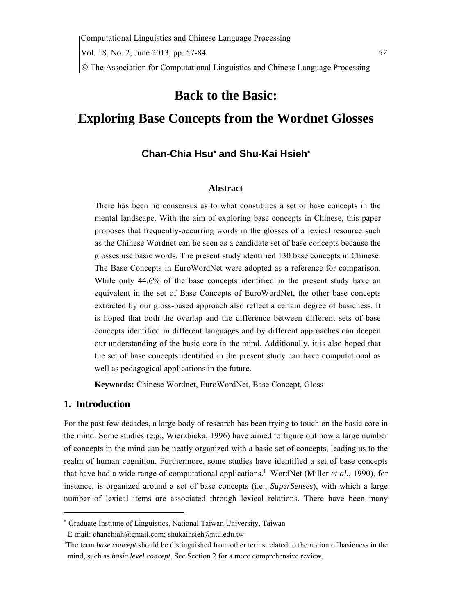# **Back to the Basic:**

# **Exploring Base Concepts from the Wordnet Glosses**

# **Chan-Chia Hsu**<sup>∗</sup>  **and Shu-Kai Hsieh**<sup>∗</sup>

#### **Abstract**

There has been no consensus as to what constitutes a set of base concepts in the mental landscape. With the aim of exploring base concepts in Chinese, this paper proposes that frequently-occurring words in the glosses of a lexical resource such as the Chinese Wordnet can be seen as a candidate set of base concepts because the glosses use basic words. The present study identified 130 base concepts in Chinese. The Base Concepts in EuroWordNet were adopted as a reference for comparison. While only 44.6% of the base concepts identified in the present study have an equivalent in the set of Base Concepts of EuroWordNet, the other base concepts extracted by our gloss-based approach also reflect a certain degree of basicness. It is hoped that both the overlap and the difference between different sets of base concepts identified in different languages and by different approaches can deepen our understanding of the basic core in the mind. Additionally, it is also hoped that the set of base concepts identified in the present study can have computational as well as pedagogical applications in the future.

**Keywords:** Chinese Wordnet, EuroWordNet, Base Concept, Gloss

# **1. Introduction**

For the past few decades, a large body of research has been trying to touch on the basic core in the mind. Some studies (e.g., Wierzbicka, 1996) have aimed to figure out how a large number of concepts in the mind can be neatly organized with a basic set of concepts, leading us to the realm of human cognition. Furthermore, some studies have identified a set of base concepts that have had a wide range of computational applications.<sup>1</sup> WordNet (Miller *et al.*, 1990), for instance, is organized around a set of base concepts (i.e., *SuperSenses*), with which a large number of lexical items are associated through lexical relations. There have been many

<sup>∗</sup> Graduate Institute of Linguistics, National Taiwan University, Taiwan

E-mail: chanchiah@gmail.com; shukaihsieh@ntu.edu.tw

<sup>&</sup>lt;sup>1</sup>The term *base concept* should be distinguished from other terms related to the notion of basicness in the mind, such as *basic level concept*. See Section 2 for a more comprehensive review.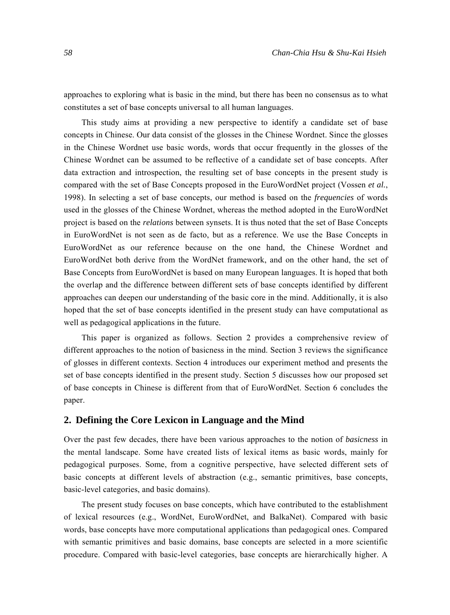approaches to exploring what is basic in the mind, but there has been no consensus as to what constitutes a set of base concepts universal to all human languages.

This study aims at providing a new perspective to identify a candidate set of base concepts in Chinese. Our data consist of the glosses in the Chinese Wordnet. Since the glosses in the Chinese Wordnet use basic words, words that occur frequently in the glosses of the Chinese Wordnet can be assumed to be reflective of a candidate set of base concepts. After data extraction and introspection, the resulting set of base concepts in the present study is compared with the set of Base Concepts proposed in the EuroWordNet project (Vossen *et al.*, 1998). In selecting a set of base concepts, our method is based on the *frequencies* of words used in the glosses of the Chinese Wordnet, whereas the method adopted in the EuroWordNet project is based on the *relations* between synsets. It is thus noted that the set of Base Concepts in EuroWordNet is not seen as de facto, but as a reference. We use the Base Concepts in EuroWordNet as our reference because on the one hand, the Chinese Wordnet and EuroWordNet both derive from the WordNet framework, and on the other hand, the set of Base Concepts from EuroWordNet is based on many European languages. It is hoped that both the overlap and the difference between different sets of base concepts identified by different approaches can deepen our understanding of the basic core in the mind. Additionally, it is also hoped that the set of base concepts identified in the present study can have computational as well as pedagogical applications in the future.

This paper is organized as follows. Section 2 provides a comprehensive review of different approaches to the notion of basicness in the mind. Section 3 reviews the significance of glosses in different contexts. Section 4 introduces our experiment method and presents the set of base concepts identified in the present study. Section 5 discusses how our proposed set of base concepts in Chinese is different from that of EuroWordNet. Section 6 concludes the paper.

# **2. Defining the Core Lexicon in Language and the Mind**

Over the past few decades, there have been various approaches to the notion of *basicness* in the mental landscape. Some have created lists of lexical items as basic words, mainly for pedagogical purposes. Some, from a cognitive perspective, have selected different sets of basic concepts at different levels of abstraction (e.g., semantic primitives, base concepts, basic-level categories, and basic domains).

The present study focuses on base concepts, which have contributed to the establishment of lexical resources (e.g., WordNet, EuroWordNet, and BalkaNet). Compared with basic words, base concepts have more computational applications than pedagogical ones. Compared with semantic primitives and basic domains, base concepts are selected in a more scientific procedure. Compared with basic-level categories, base concepts are hierarchically higher. A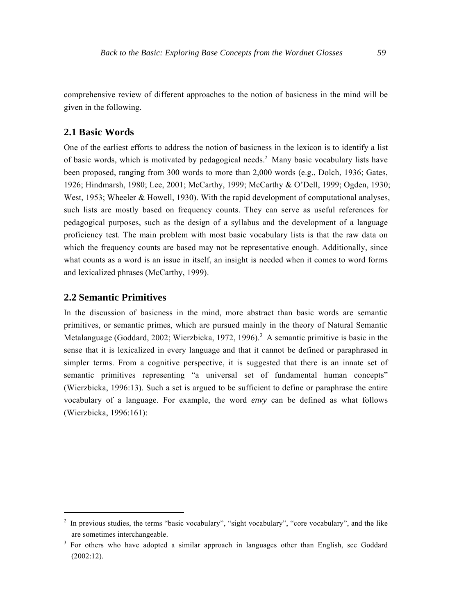comprehensive review of different approaches to the notion of basicness in the mind will be given in the following.

# **2.1 Basic Words**

One of the earliest efforts to address the notion of basicness in the lexicon is to identify a list of basic words, which is motivated by pedagogical needs.<sup>2</sup> Many basic vocabulary lists have been proposed, ranging from 300 words to more than 2,000 words (e.g., Dolch, 1936; Gates, 1926; Hindmarsh, 1980; Lee, 2001; McCarthy, 1999; McCarthy & O'Dell, 1999; Ogden, 1930; West, 1953; Wheeler & Howell, 1930). With the rapid development of computational analyses, such lists are mostly based on frequency counts. They can serve as useful references for pedagogical purposes, such as the design of a syllabus and the development of a language proficiency test. The main problem with most basic vocabulary lists is that the raw data on which the frequency counts are based may not be representative enough. Additionally, since what counts as a word is an issue in itself, an insight is needed when it comes to word forms and lexicalized phrases (McCarthy, 1999).

#### **2.2 Semantic Primitives**

In the discussion of basicness in the mind, more abstract than basic words are semantic primitives, or semantic primes, which are pursued mainly in the theory of Natural Semantic Metalanguage (Goddard, 2002; Wierzbicka, 1972, 1996).<sup>3</sup> A semantic primitive is basic in the sense that it is lexicalized in every language and that it cannot be defined or paraphrased in simpler terms. From a cognitive perspective, it is suggested that there is an innate set of semantic primitives representing "a universal set of fundamental human concepts" (Wierzbicka, 1996:13). Such a set is argued to be sufficient to define or paraphrase the entire vocabulary of a language. For example, the word *envy* can be defined as what follows (Wierzbicka, 1996:161):

<sup>&</sup>lt;sup>2</sup> In previous studies, the terms "basic vocabulary", "sight vocabulary", "core vocabulary", and the like are sometimes interchangeable.

<sup>&</sup>lt;sup>3</sup> For others who have adopted a similar approach in languages other than English, see Goddard (2002:12).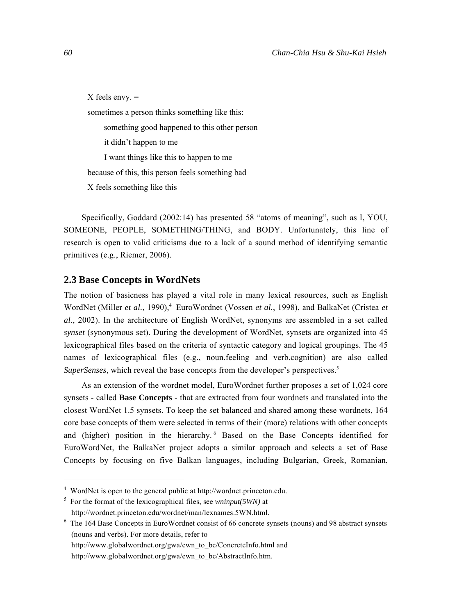$X$  feels envy.  $=$ sometimes a person thinks something like this: something good happened to this other person it didn't happen to me I want things like this to happen to me because of this, this person feels something bad X feels something like this

Specifically, Goddard (2002:14) has presented 58 "atoms of meaning", such as I, YOU, SOMEONE, PEOPLE, SOMETHING/THING, and BODY. Unfortunately, this line of research is open to valid criticisms due to a lack of a sound method of identifying semantic primitives (e.g., Riemer, 2006).

#### **2.3 Base Concepts in WordNets**

The notion of basicness has played a vital role in many lexical resources, such as English WordNet (Miller *et al.*, 1990),<sup>4</sup> EuroWordnet (Vossen *et al.*, 1998), and BalkaNet (Cristea *et al.*, 2002). In the architecture of English WordNet, synonyms are assembled in a set called *synset* (synonymous set). During the development of WordNet, synsets are organized into 45 lexicographical files based on the criteria of syntactic category and logical groupings. The 45 names of lexicographical files (e.g., noun.feeling and verb.cognition) are also called *SuperSenses*, which reveal the base concepts from the developer's perspectives.<sup>5</sup>

As an extension of the wordnet model, EuroWordnet further proposes a set of 1,024 core synsets - called **Base Concepts -** that are extracted from four wordnets and translated into the closest WordNet 1.5 synsets. To keep the set balanced and shared among these wordnets, 164 core base concepts of them were selected in terms of their (more) relations with other concepts and (higher) position in the hierarchy.<sup>6</sup> Based on the Base Concepts identified for EuroWordNet, the BalkaNet project adopts a similar approach and selects a set of Base Concepts by focusing on five Balkan languages, including Bulgarian, Greek, Romanian,

<sup>&</sup>lt;sup>4</sup> WordNet is open to the general public at http://wordnet.princeton.edu.<br><sup>5</sup> Ear the format of the lavinegraphical files, see wwinny(5WM) at

For the format of the lexicographical files, see *wninput(5WN)* at http://wordnet.princeton.edu/wordnet/man/lexnames.5WN.html. 6

The 164 Base Concepts in EuroWordnet consist of 66 concrete synsets (nouns) and 98 abstract synsets (nouns and verbs). For more details, refer to http://www.globalwordnet.org/gwa/ewn\_to\_bc/ConcreteInfo.html and

http://www.globalwordnet.org/gwa/ewn\_to\_bc/AbstractInfo.htm.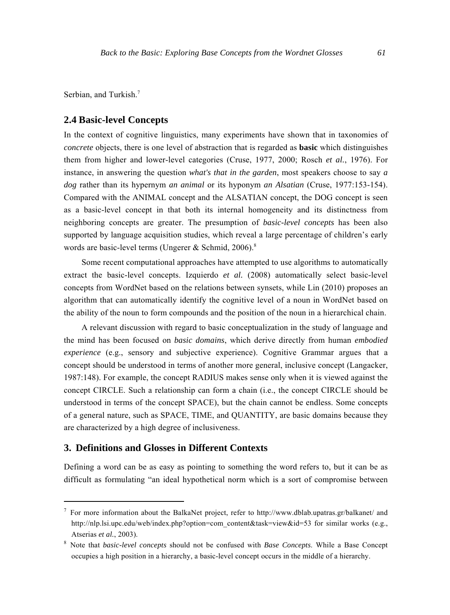Serbian, and Turkish.<sup>7</sup>

# **2.4 Basic-level Concepts**

In the context of cognitive linguistics, many experiments have shown that in taxonomies of *concrete* objects, there is one level of abstraction that is regarded as **basic** which distinguishes them from higher and lower-level categories (Cruse, 1977, 2000; Rosch *et al.*, 1976). For instance, in answering the question *what's that in the garden*, most speakers choose to say *a dog* rather than its hypernym *an animal* or its hyponym *an Alsatian* (Cruse, 1977:153-154). Compared with the ANIMAL concept and the ALSATIAN concept, the DOG concept is seen as a basic-level concept in that both its internal homogeneity and its distinctness from neighboring concepts are greater. The presumption of *basic-level concepts* has been also supported by language acquisition studies, which reveal a large percentage of children's early words are basic-level terms (Ungerer & Schmid, 2006).<sup>8</sup>

Some recent computational approaches have attempted to use algorithms to automatically extract the basic-level concepts. Izquierdo *et al.* (2008) automatically select basic-level concepts from WordNet based on the relations between synsets, while Lin (2010) proposes an algorithm that can automatically identify the cognitive level of a noun in WordNet based on the ability of the noun to form compounds and the position of the noun in a hierarchical chain.

A relevant discussion with regard to basic conceptualization in the study of language and the mind has been focused on *basic domains*, which derive directly from human *embodied experience* (e.g., sensory and subjective experience). Cognitive Grammar argues that a concept should be understood in terms of another more general, inclusive concept (Langacker, 1987:148). For example, the concept RADIUS makes sense only when it is viewed against the concept CIRCLE. Such a relationship can form a chain (i.e., the concept CIRCLE should be understood in terms of the concept SPACE), but the chain cannot be endless. Some concepts of a general nature, such as SPACE, TIME, and QUANTITY, are basic domains because they are characterized by a high degree of inclusiveness.

# **3. Definitions and Glosses in Different Contexts**

Defining a word can be as easy as pointing to something the word refers to, but it can be as difficult as formulating "an ideal hypothetical norm which is a sort of compromise between

<sup>&</sup>lt;sup>7</sup> For more information about the BalkaNet project, refer to http://www.dblab.upatras.gr/balkanet/ and http://nlp.lsi.upc.edu/web/index.php?option=com\_content&task=view&id=53 for similar works (e.g., Atserias *et al.*, 2003).

Note that *basic-level concepts* should not be confused with *Base Concepts*. While a Base Concept occupies a high position in a hierarchy, a basic-level concept occurs in the middle of a hierarchy.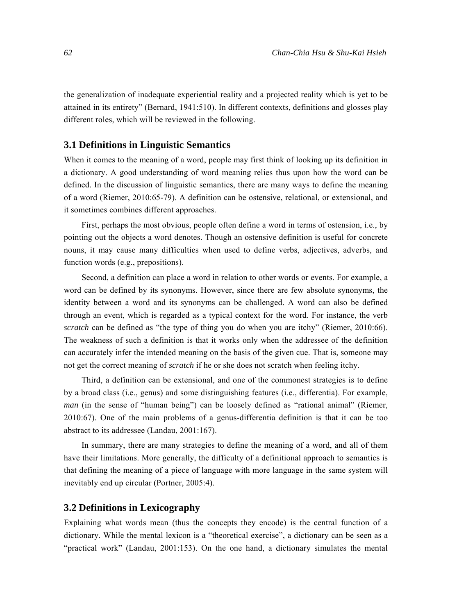the generalization of inadequate experiential reality and a projected reality which is yet to be attained in its entirety" (Bernard, 1941:510). In different contexts, definitions and glosses play different roles, which will be reviewed in the following.

#### **3.1 Definitions in Linguistic Semantics**

When it comes to the meaning of a word, people may first think of looking up its definition in a dictionary. A good understanding of word meaning relies thus upon how the word can be defined. In the discussion of linguistic semantics, there are many ways to define the meaning of a word (Riemer, 2010:65-79). A definition can be ostensive, relational, or extensional, and it sometimes combines different approaches.

First, perhaps the most obvious, people often define a word in terms of ostension, i.e., by pointing out the objects a word denotes. Though an ostensive definition is useful for concrete nouns, it may cause many difficulties when used to define verbs, adjectives, adverbs, and function words (e.g., prepositions).

Second, a definition can place a word in relation to other words or events. For example, a word can be defined by its synonyms. However, since there are few absolute synonyms, the identity between a word and its synonyms can be challenged. A word can also be defined through an event, which is regarded as a typical context for the word. For instance, the verb *scratch* can be defined as "the type of thing you do when you are itchy" (Riemer, 2010:66). The weakness of such a definition is that it works only when the addressee of the definition can accurately infer the intended meaning on the basis of the given cue. That is, someone may not get the correct meaning of *scratch* if he or she does not scratch when feeling itchy.

Third, a definition can be extensional, and one of the commonest strategies is to define by a broad class (i.e., genus) and some distinguishing features (i.e., differentia). For example, *man* (in the sense of "human being") can be loosely defined as "rational animal" (Riemer, 2010:67). One of the main problems of a genus-differentia definition is that it can be too abstract to its addressee (Landau, 2001:167).

In summary, there are many strategies to define the meaning of a word, and all of them have their limitations. More generally, the difficulty of a definitional approach to semantics is that defining the meaning of a piece of language with more language in the same system will inevitably end up circular (Portner, 2005:4).

#### **3.2 Definitions in Lexicography**

Explaining what words mean (thus the concepts they encode) is the central function of a dictionary. While the mental lexicon is a "theoretical exercise", a dictionary can be seen as a "practical work" (Landau, 2001:153). On the one hand, a dictionary simulates the mental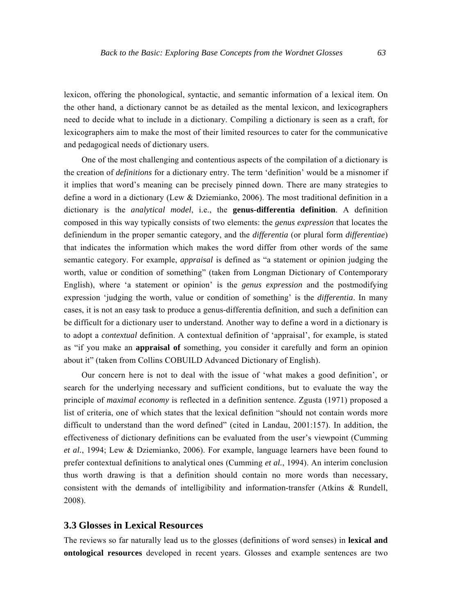lexicon, offering the phonological, syntactic, and semantic information of a lexical item. On the other hand, a dictionary cannot be as detailed as the mental lexicon, and lexicographers need to decide what to include in a dictionary. Compiling a dictionary is seen as a craft, for lexicographers aim to make the most of their limited resources to cater for the communicative and pedagogical needs of dictionary users.

One of the most challenging and contentious aspects of the compilation of a dictionary is the creation of *definitions* for a dictionary entry. The term 'definition' would be a misnomer if it implies that word's meaning can be precisely pinned down. There are many strategies to define a word in a dictionary (Lew & Dziemianko, 2006). The most traditional definition in a dictionary is the *analytical model*, i.e., the **genus-differentia definition**. A definition composed in this way typically consists of two elements: the *genus expression* that locates the definiendum in the proper semantic category, and the *differentia* (or plural form *differentiae*) that indicates the information which makes the word differ from other words of the same semantic category. For example, *appraisal* is defined as "a statement or opinion judging the worth, value or condition of something" (taken from Longman Dictionary of Contemporary English), where 'a statement or opinion' is the *genus expression* and the postmodifying expression 'judging the worth, value or condition of something' is the *differentia*. In many cases, it is not an easy task to produce a genus-differentia definition, and such a definition can be difficult for a dictionary user to understand. Another way to define a word in a dictionary is to adopt a *contextual* definition. A contextual definition of 'appraisal', for example, is stated as "if you make an **appraisal of** something, you consider it carefully and form an opinion about it" (taken from Collins COBUILD Advanced Dictionary of English).

Our concern here is not to deal with the issue of 'what makes a good definition', or search for the underlying necessary and sufficient conditions, but to evaluate the way the principle of *maximal economy* is reflected in a definition sentence. Zgusta (1971) proposed a list of criteria, one of which states that the lexical definition "should not contain words more difficult to understand than the word defined" (cited in Landau, 2001:157). In addition, the effectiveness of dictionary definitions can be evaluated from the user's viewpoint (Cumming *et al.*, 1994; Lew & Dziemianko, 2006). For example, language learners have been found to prefer contextual definitions to analytical ones (Cumming *et al.*, 1994). An interim conclusion thus worth drawing is that a definition should contain no more words than necessary, consistent with the demands of intelligibility and information-transfer (Atkins & Rundell, 2008).

# **3.3 Glosses in Lexical Resources**

The reviews so far naturally lead us to the glosses (definitions of word senses) in **lexical and ontological resources** developed in recent years. Glosses and example sentences are two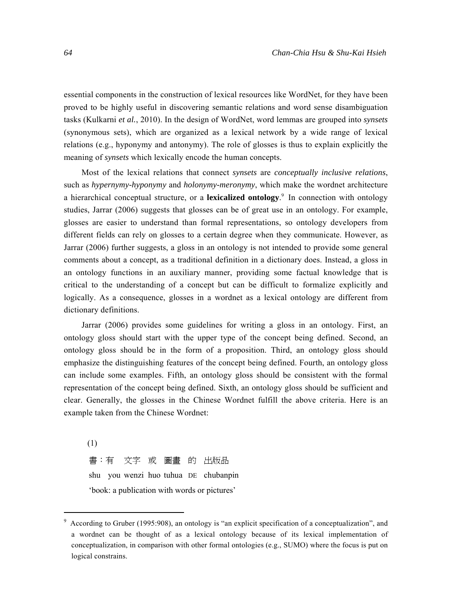essential components in the construction of lexical resources like WordNet, for they have been proved to be highly useful in discovering semantic relations and word sense disambiguation tasks (Kulkarni *et al.*, 2010). In the design of WordNet, word lemmas are grouped into *synsets* (synonymous sets), which are organized as a lexical network by a wide range of lexical relations (e.g., hyponymy and antonymy). The role of glosses is thus to explain explicitly the meaning of *synsets* which lexically encode the human concepts.

Most of the lexical relations that connect *synsets* are *conceptually inclusive relations*, such as *hypernymy-hyponymy* and *holonymy-meronymy*, which make the wordnet architecture a hierarchical conceptual structure, or a **lexicalized ontology**. 9 In connection with ontology studies, Jarrar (2006) suggests that glosses can be of great use in an ontology. For example, glosses are easier to understand than formal representations, so ontology developers from different fields can rely on glosses to a certain degree when they communicate. However, as Jarrar (2006) further suggests, a gloss in an ontology is not intended to provide some general comments about a concept, as a traditional definition in a dictionary does. Instead, a gloss in an ontology functions in an auxiliary manner, providing some factual knowledge that is critical to the understanding of a concept but can be difficult to formalize explicitly and logically. As a consequence, glosses in a wordnet as a lexical ontology are different from dictionary definitions.

Jarrar (2006) provides some guidelines for writing a gloss in an ontology. First, an ontology gloss should start with the upper type of the concept being defined. Second, an ontology gloss should be in the form of a proposition. Third, an ontology gloss should emphasize the distinguishing features of the concept being defined. Fourth, an ontology gloss can include some examples. Fifth, an ontology gloss should be consistent with the formal representation of the concept being defined. Sixth, an ontology gloss should be sufficient and clear. Generally, the glosses in the Chinese Wordnet fulfill the above criteria. Here is an example taken from the Chinese Wordnet:

(1) 書:有 文字 或 圖畫 的 出版品 shu you wenzi huo tuhua DE chubanpin 'book: a publication with words or pictures'

<sup>&</sup>lt;sup>9</sup> According to Gruber (1995:908), an ontology is "an explicit specification of a conceptualization", and a wordnet can be thought of as a lexical ontology because of its lexical implementation of conceptualization, in comparison with other formal ontologies (e.g., SUMO) where the focus is put on logical constrains.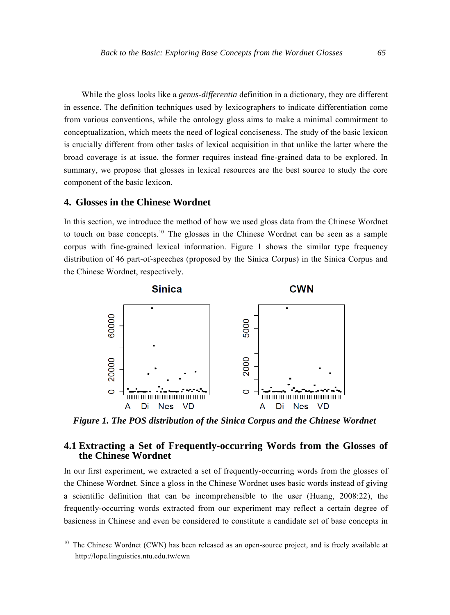While the gloss looks like a *genus-differentia* definition in a dictionary, they are different in essence. The definition techniques used by lexicographers to indicate differentiation come from various conventions, while the ontology gloss aims to make a minimal commitment to conceptualization, which meets the need of logical conciseness. The study of the basic lexicon is crucially different from other tasks of lexical acquisition in that unlike the latter where the broad coverage is at issue, the former requires instead fine-grained data to be explored. In summary, we propose that glosses in lexical resources are the best source to study the core component of the basic lexicon.

### **4. Glosses in the Chinese Wordnet**

In this section, we introduce the method of how we used gloss data from the Chinese Wordnet to touch on base concepts.10 The glosses in the Chinese Wordnet can be seen as a sample corpus with fine-grained lexical information. Figure 1 shows the similar type frequency distribution of 46 part-of-speeches (proposed by the Sinica Corpus) in the Sinica Corpus and the Chinese Wordnet, respectively.



*Figure 1. The POS distribution of the Sinica Corpus and the Chinese Wordnet* 

# **4.1 Extracting a Set of Frequently-occurring Words from the Glosses of the Chinese Wordnet**

In our first experiment, we extracted a set of frequently-occurring words from the glosses of the Chinese Wordnet. Since a gloss in the Chinese Wordnet uses basic words instead of giving a scientific definition that can be incomprehensible to the user (Huang, 2008:22), the frequently-occurring words extracted from our experiment may reflect a certain degree of basicness in Chinese and even be considered to constitute a candidate set of base concepts in

 $10$  The Chinese Wordnet (CWN) has been released as an open-source project, and is freely available at http://lope.linguistics.ntu.edu.tw/cwn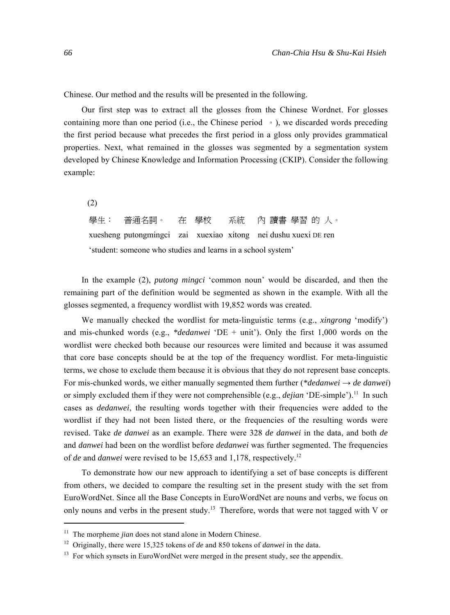Chinese. Our method and the results will be presented in the following.

Our first step was to extract all the glosses from the Chinese Wordnet. For glosses containing more than one period (i.e., the Chinese period  $\circ$ ), we discarded words preceding the first period because what precedes the first period in a gloss only provides grammatical properties. Next, what remained in the glosses was segmented by a segmentation system developed by Chinese Knowledge and Information Processing (CKIP). Consider the following example:

(2)

學生: 普通名詞。 在 學校 系統 內 讀書 學習 的 人。 xuesheng putongmingci zai xuexiao xitong nei dushu xuexi DE ren 'student: someone who studies and learns in a school system'

In the example (2), *putong mingci* 'common noun' would be discarded, and then the remaining part of the definition would be segmented as shown in the example. With all the glosses segmented, a frequency wordlist with 19,852 words was created.

We manually checked the wordlist for meta-linguistic terms (e.g., *xingrong* 'modify') and mis-chunked words (e.g., *\*dedanwei* 'DE + unit'). Only the first 1,000 words on the wordlist were checked both because our resources were limited and because it was assumed that core base concepts should be at the top of the frequency wordlist. For meta-linguistic terms, we chose to exclude them because it is obvious that they do not represent base concepts. For mis-chunked words, we either manually segmented them further (*\*dedanwei*  $\rightarrow$  *de danwei*) or simply excluded them if they were not comprehensible (e.g., *dejian* 'DE-simple').11 In such cases as *dedanwei*, the resulting words together with their frequencies were added to the wordlist if they had not been listed there, or the frequencies of the resulting words were revised. Take *de danwei* as an example. There were 328 *de danwei* in the data, and both *de* and *danwei* had been on the wordlist before *dedanwei* was further segmented. The frequencies of *de* and *danwei* were revised to be 15,653 and 1,178, respectively.12

To demonstrate how our new approach to identifying a set of base concepts is different from others, we decided to compare the resulting set in the present study with the set from EuroWordNet. Since all the Base Concepts in EuroWordNet are nouns and verbs, we focus on only nouns and verbs in the present study.<sup>13</sup> Therefore, words that were not tagged with V or

<sup>&</sup>lt;sup>11</sup> The morpheme *jian* does not stand alone in Modern Chinese.

<sup>12</sup> Originally, there were 15,325 tokens of *de* and 850 tokens of *danwei* in the data.

<sup>&</sup>lt;sup>13</sup> For which synsets in EuroWordNet were merged in the present study, see the appendix.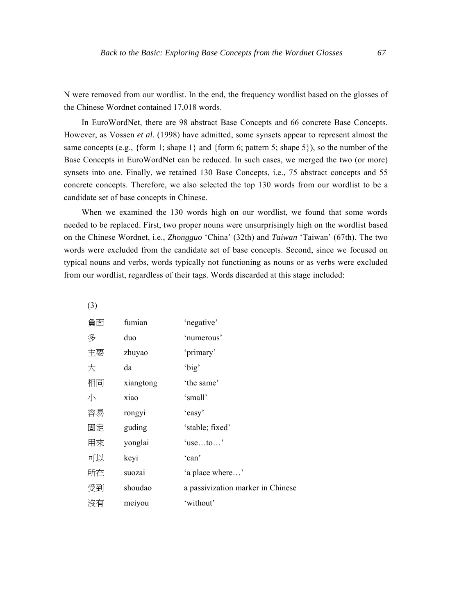N were removed from our wordlist. In the end, the frequency wordlist based on the glosses of the Chinese Wordnet contained 17,018 words.

In EuroWordNet, there are 98 abstract Base Concepts and 66 concrete Base Concepts. However, as Vossen *et al.* (1998) have admitted, some synsets appear to represent almost the same concepts (e.g., {form 1; shape 1} and {form 6; pattern 5; shape 5}), so the number of the Base Concepts in EuroWordNet can be reduced. In such cases, we merged the two (or more) synsets into one. Finally, we retained 130 Base Concepts, i.e., 75 abstract concepts and 55 concrete concepts. Therefore, we also selected the top 130 words from our wordlist to be a candidate set of base concepts in Chinese.

When we examined the 130 words high on our wordlist, we found that some words needed to be replaced. First, two proper nouns were unsurprisingly high on the wordlist based on the Chinese Wordnet, i.e., *Zhongguo* 'China' (32th) and *Taiwan* 'Taiwan' (67th). The two words were excluded from the candidate set of base concepts. Second, since we focused on typical nouns and verbs, words typically not functioning as nouns or as verbs were excluded from our wordlist, regardless of their tags. Words discarded at this stage included:

(3)

| 負面 | fumian    | 'negative'                        |
|----|-----------|-----------------------------------|
| 多  | duo       | 'numerous'                        |
| 主要 | zhuyao    | 'primary'                         |
| 大  | da        | 'big'                             |
| 相同 | xiangtong | 'the same'                        |
| 小  | xiao      | 'small'                           |
| 容易 | rongyi    | 'easy'                            |
| 固定 | guding    | 'stable; fixed'                   |
| 用來 | yonglai   | $'$ useto'                        |
| 可以 | keyi      | 'can'                             |
| 所在 | suozai    | 'a place where'                   |
| 受到 | shoudao   | a passivization marker in Chinese |
| 沒有 | meiyou    | 'without'                         |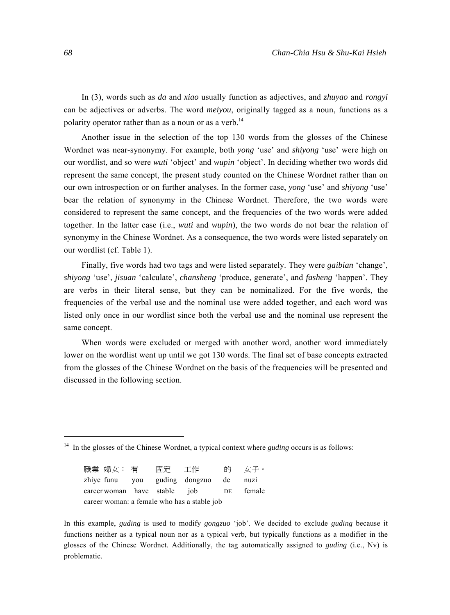In (3), words such as *da* and *xiao* usually function as adjectives, and *zhuyao* and *rongyi* can be adjectives or adverbs. The word *meiyou*, originally tagged as a noun, functions as a polarity operator rather than as a noun or as a verb.<sup>14</sup>

Another issue in the selection of the top 130 words from the glosses of the Chinese Wordnet was near-synonymy. For example, both *yong* 'use' and *shiyong* 'use' were high on our wordlist, and so were *wuti* 'object' and *wupin* 'object'. In deciding whether two words did represent the same concept, the present study counted on the Chinese Wordnet rather than on our own introspection or on further analyses. In the former case, *yong* 'use' and *shiyong* 'use' bear the relation of synonymy in the Chinese Wordnet. Therefore, the two words were considered to represent the same concept, and the frequencies of the two words were added together. In the latter case (i.e., *wuti* and *wupin*), the two words do not bear the relation of synonymy in the Chinese Wordnet. As a consequence, the two words were listed separately on our wordlist (cf. Table 1).

Finally, five words had two tags and were listed separately. They were *gaibian* 'change', *shiyong* 'use', *jisuan* 'calculate', *chansheng* 'produce, generate', and *fasheng* 'happen'. They are verbs in their literal sense, but they can be nominalized. For the five words, the frequencies of the verbal use and the nominal use were added together, and each word was listed only once in our wordlist since both the verbal use and the nominal use represent the same concept.

When words were excluded or merged with another word, another word immediately lower on the wordlist went up until we got 130 words. The final set of base concepts extracted from the glosses of the Chinese Wordnet on the basis of the frequencies will be presented and discussed in the following section.

職業 婦女: 有 固定 工作 的 女子。 zhiye funu you guding dongzuo de nuzi career woman have stable job DE female career woman: a female who has a stable job

In this example, *guding* is used to modify *gongzuo* 'job'. We decided to exclude *guding* because it functions neither as a typical noun nor as a typical verb, but typically functions as a modifier in the glosses of the Chinese Wordnet. Additionally, the tag automatically assigned to *guding* (i.e., Nv) is problematic.

<sup>&</sup>lt;sup>14</sup> In the glosses of the Chinese Wordnet, a typical context where *guding* occurs is as follows: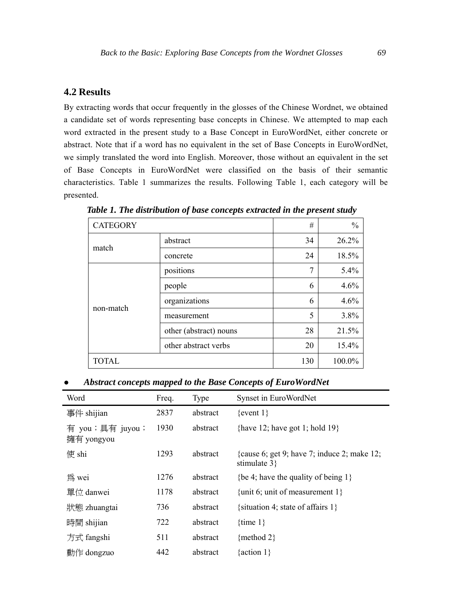# **4.2 Results**

By extracting words that occur frequently in the glosses of the Chinese Wordnet, we obtained a candidate set of words representing base concepts in Chinese. We attempted to map each word extracted in the present study to a Base Concept in EuroWordNet, either concrete or abstract. Note that if a word has no equivalent in the set of Base Concepts in EuroWordNet, we simply translated the word into English. Moreover, those without an equivalent in the set of Base Concepts in EuroWordNet were classified on the basis of their semantic characteristics. Table 1 summarizes the results. Following Table 1, each category will be presented.

| <b>CATEGORY</b> |                        | #   | $\frac{0}{0}$ |
|-----------------|------------------------|-----|---------------|
| match           | abstract               | 34  | 26.2%         |
|                 | concrete               | 24  | 18.5%         |
|                 | positions              | 7   | 5.4%          |
|                 | people                 | 6   | 4.6%          |
| non-match       | organizations          | 6   | 4.6%          |
|                 | measurement            | 5   | 3.8%          |
|                 | other (abstract) nouns | 28  | 21.5%         |
|                 | other abstract verbs   | 20  | 15.4%         |
| <b>TOTAL</b>    |                        | 130 | 100.0%        |

*Table 1. The distribution of base concepts extracted in the present study* 

z *Abstract concepts mapped to the Base Concepts of EuroWordNet* 

| Word                          | Freq. | Type     | Synset in EuroWordNet                                          |
|-------------------------------|-------|----------|----------------------------------------------------------------|
| 事件 shijian                    | 2837  | abstract | $\{$ event 1 $\}$                                              |
| 有 you;具有 juyou;<br>擁有 yongyou | 1930  | abstract | {have 12; have got 1; hold 19}                                 |
| 使 shi                         | 1293  | abstract | {cause 6; get 9; have 7; induce 2; make 12;<br>stimulate $3$ } |
| 為 wei                         | 1276  | abstract | {be 4; have the quality of being $1$ }                         |
| 單位 danwei                     | 1178  | abstract | {unit 6; unit of measurement $1$ }                             |
| 狀態 zhuangtai                  | 736   | abstract | {situation 4; state of affairs $1$ }                           |
| 時間 shijian                    | 722   | abstract | {time $1$ }                                                    |
| 方式 fangshi                    | 511   | abstract | {method 2}                                                     |
| 動作 dongzuo                    | 442   | abstract | { $action 1$ }                                                 |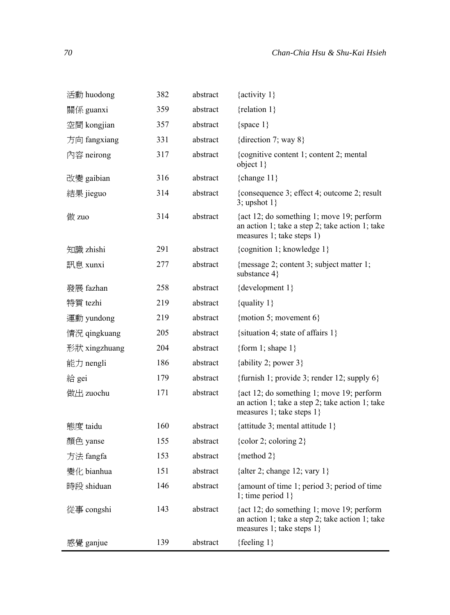| 活動 huodong    | 382 | abstract | {activity $1$ }                                                                                                           |
|---------------|-----|----------|---------------------------------------------------------------------------------------------------------------------------|
| 關係 guanxi     | 359 | abstract | {relation $1$ }                                                                                                           |
| 空間 kongjian   | 357 | abstract | {space $1$ }                                                                                                              |
| 方向 fangxiang  | 331 | abstract | {direction 7; way $8$ }                                                                                                   |
| 內容 neirong    | 317 | abstract | {cognitive content 1; content 2; mental<br>object $1$                                                                     |
| 改變 gaibian    | 316 | abstract | {change $11$ }                                                                                                            |
| 結果 jieguo     | 314 | abstract | {consequence 3; effect 4; outcome 2; result<br>3; upshot $1$ }                                                            |
| 做 zuo         | 314 | abstract | {act 12; do something 1; move 19; perform<br>an action 1; take a step 2; take action 1; take<br>measures 1; take steps 1) |
| 知識 zhishi     | 291 | abstract | {cognition 1; knowledge 1}                                                                                                |
| 訊息 xunxi      | 277 | abstract | {message 2; content 3; subject matter 1;<br>substance 4}                                                                  |
| 發展 fazhan     | 258 | abstract | {development 1}                                                                                                           |
| 特質 tezhi      | 219 | abstract | {quality $1$ }                                                                                                            |
| 運動 yundong    | 219 | abstract | {motion 5; movement $6$ }                                                                                                 |
| 情況 qingkuang  | 205 | abstract | {situation 4; state of affairs $1$ }                                                                                      |
| 形狀 xingzhuang | 204 | abstract | {form 1; shape $1$ }                                                                                                      |
| 能力 nengli     | 186 | abstract | {ability 2; power $3$ }                                                                                                   |
| 給 gei         | 179 | abstract | {furnish 1; provide 3; render 12; supply $6$ }                                                                            |
| 做出 zuochu     | 171 | abstract | {act 12; do something 1; move 19; perform<br>an action 1; take a step 2; take action 1; take<br>measures 1; take steps 1} |
| 態度 taidu      | 160 | abstract | {attitude 3; mental attitude 1}                                                                                           |
| 顏色 vanse      | 155 | abstract | {color 2; coloring $2$ }                                                                                                  |
| 方法 fangfa     | 153 | abstract | {method 2}                                                                                                                |
| 變化 bianhua    | 151 | abstract | {alter 2; change 12; vary $1$ }                                                                                           |
| 時段 shiduan    | 146 | abstract | {amount of time 1; period 3; period of time<br>1; time period $1$ }                                                       |
| 從事 congshi    | 143 | abstract | {act 12; do something 1; move 19; perform<br>an action 1; take a step 2; take action 1; take<br>measures 1; take steps 1} |
| 感覺 ganjue     | 139 | abstract | {feeling $1$ }                                                                                                            |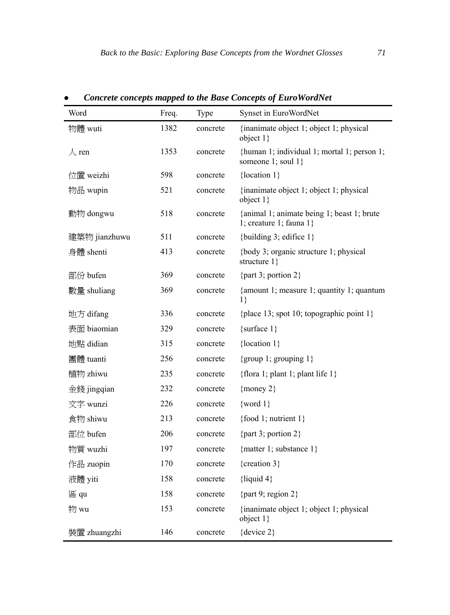| Word          | Freq. | Type     | Synset in EuroWordNet                                                    |
|---------------|-------|----------|--------------------------------------------------------------------------|
| 物體 wuti       | 1382  | concrete | {inanimate object 1; object 1; physical<br>object $1\}$                  |
| $\lambda$ ren | 1353  | concrete | {human 1; individual 1; mortal 1; person 1;<br>someone 1; soul 1}        |
| 位置 weizhi     | 598   | concrete | {location 1}                                                             |
| 物品 wupin      | 521   | concrete | {inanimate object 1; object 1; physical<br>object $1\}$                  |
| 動物 dongwu     | 518   | concrete | {animal 1; animate being 1; beast 1; brute<br>1; creature 1; fauna $1$ } |
| 建築物 jianzhuwu | 511   | concrete | {building 3; edifice $1$ }                                               |
| 身體 shenti     | 413   | concrete | {body 3; organic structure 1; physical<br>structure $1$ }                |
| 部份 bufen      | 369   | concrete | {part 3; portion $2$ }                                                   |
| 數量 shuliang   | 369   | concrete | {amount 1; measure 1; quantity 1; quantum<br>$1\}$                       |
| 地方 difang     | 336   | concrete | {place 13; spot 10; topographic point $1$ }                              |
| 表面 biaomian   | 329   | concrete | {surface $1$ }                                                           |
| 地點 didian     | 315   | concrete | {location $1$ }                                                          |
| 團體 tuanti     | 256   | concrete | {group 1; grouping $1$ }                                                 |
| 植物 zhiwu      | 235   | concrete | {flora 1; plant 1; plant life 1}                                         |
| 金錢 jingqian   | 232   | concrete | {money $2$ }                                                             |
| 文字 wunzi      | 226   | concrete | $\{word 1\}$                                                             |
| 食物 shiwu      | 213   | concrete | {food 1; nutrient $1$ }                                                  |
| 部位 bufen      | 206   | concrete | {part 3; portion $2$ }                                                   |
| 物質 wuzhi      | 197   | concrete | {matter 1; substance $1$ }                                               |
| 作品 zuopin     | 170   | concrete | {creation 3}                                                             |
| 液體 yiti       | 158   | concrete | {liquid $4$ }                                                            |
| 區 qu          | 158   | concrete | {part 9; region $2$ }                                                    |
| 物 wu          | 153   | concrete | {inanimate object 1; object 1; physical<br>object $1\}$                  |
| 裝置 zhuangzhi  | 146   | concrete | {device $2$ }                                                            |

z *Concrete concepts mapped to the Base Concepts of EuroWordNet*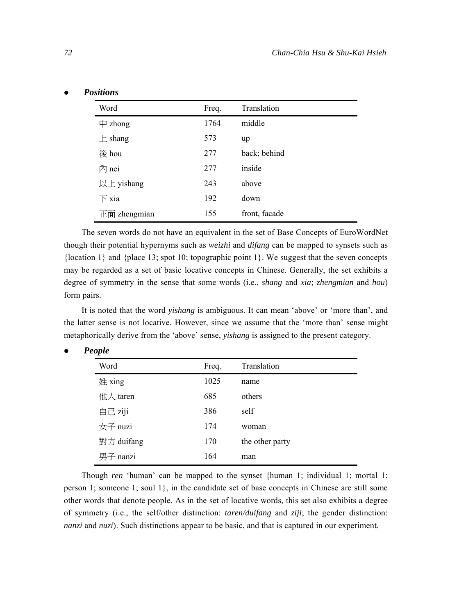| Word                    | Freq. | Translation   |
|-------------------------|-------|---------------|
| 中<br>zhong              | 1764  | middle        |
| $\pm$ shang             | 573   | up            |
| 後 hou                   | 277   | back; behind  |
| 內 nei                   | 277   | inside        |
| 以上 yishang              | 243   | above         |
| $\overline{\Gamma}$ xia | 192   | down          |
| 正面 zhengmian            | 155   | front, facade |

The seven words do not have an equivalent in the set of Base Concepts of EuroWordNet though their potential hypernyms such as *weizhi* and *difang* can be mapped to synsets such as  ${local 1}$  and  ${place 13; spot 10; topographic point 1}$ . We suggest that the seven concepts may be regarded as a set of basic locative concepts in Chinese. Generally, the set exhibits a degree of symmetry in the sense that some words (i.e., *shang* and *xia*; *zhengmian* and *hou*) form pairs.

It is noted that the word *yishang* is ambiguous. It can mean 'above' or 'more than', and the latter sense is not locative. However, since we assume that the 'more than' sense might metaphorically derive from the 'above' sense, *yishang* is assigned to the present category.

| Word       | Freq. | Translation     |
|------------|-------|-----------------|
| 姓 xing     | 1025  | name            |
| 他人 taren   | 685   | others          |
| 自己 ziji    | 386   | self            |
| 女子 nuzi    | 174   | woman           |
| 對方 duifang | 170   | the other party |
| 男子 nanzi   | 164   | man             |

Though *ren* 'human' can be mapped to the synset {human 1; individual 1; mortal 1; person 1; someone 1; soul  $1$ , in the candidate set of base concepts in Chinese are still some other words that denote people. As in the set of locative words, this set also exhibits a degree of symmetry (i.e., the self/other distinction: *taren/duifang* and *ziji*; the gender distinction: *nanzi* and *nuzi*). Such distinctions appear to be basic, and that is captured in our experiment.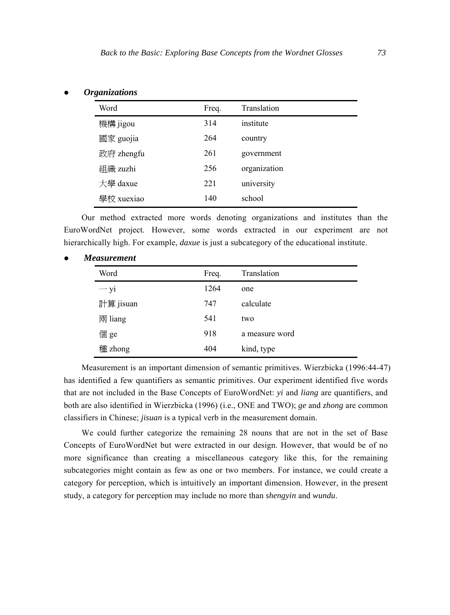| Word       | Freq. | Translation  |
|------------|-------|--------------|
| 機構 jigou   | 314   | institute    |
| 國家 guojia  | 264   | country      |
| 政府 zhengfu | 261   | government   |
| 組織 zuzhi   | 256   | organization |
| 大學 daxue   | 221   | university   |
| 學校 xuexiao | 140   | school       |
|            |       |              |

#### z *Organizations*

Our method extracted more words denoting organizations and institutes than the EuroWordNet project. However, some words extracted in our experiment are not hierarchically high. For example, *daxue* is just a subcategory of the educational institute.

| <b>Measurement</b> |  |
|--------------------|--|
|--------------------|--|

| Word             | Freq. | Translation    |
|------------------|-------|----------------|
| $\rightarrow$ yi | 1264  | one            |
| 計算 jisuan        | 747   | calculate      |
| 兩 liang          | 541   | two            |
| 個 ge             | 918   | a measure word |
| 種 zhong          | 404   | kind, type     |

Measurement is an important dimension of semantic primitives. Wierzbicka (1996:44-47) has identified a few quantifiers as semantic primitives. Our experiment identified five words that are not included in the Base Concepts of EuroWordNet: *yi* and *liang* are quantifiers, and both are also identified in Wierzbicka (1996) (i.e., ONE and TWO); *ge* and *zhong* are common classifiers in Chinese; *jisuan* is a typical verb in the measurement domain.

We could further categorize the remaining 28 nouns that are not in the set of Base Concepts of EuroWordNet but were extracted in our design. However, that would be of no more significance than creating a miscellaneous category like this, for the remaining subcategories might contain as few as one or two members. For instance, we could create a category for perception, which is intuitively an important dimension. However, in the present study, a category for perception may include no more than *shengyin* and *wundu*.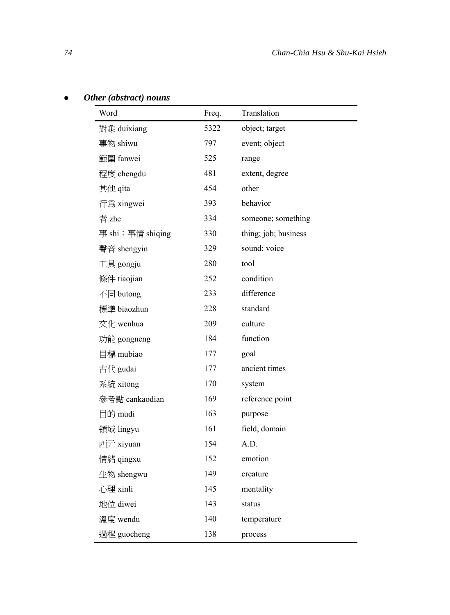|  | Other (abstract) nouns |  |
|--|------------------------|--|
|--|------------------------|--|

| Word             | Freq. | Translation          |
|------------------|-------|----------------------|
| 對象 duixiang      | 5322  | object; target       |
| 事物 shiwu         | 797   | event; object        |
| 範圍 fanwei        | 525   | range                |
| 程度 chengdu       | 481   | extent, degree       |
| 其他 qita          | 454   | other                |
| 行為 xingwei       | 393   | behavior             |
| 者 zhe            | 334   | someone; something   |
| 事 shi;事情 shiqing | 330   | thing; job; business |
| 聲音 shengyin      | 329   | sound; voice         |
| 工具 gongju        | 280   | tool                 |
| 條件 tiaojian      | 252   | condition            |
| 不同 butong        | 233   | difference           |
| 標準 biaozhun      | 228   | standard             |
| 文化 wenhua        | 209   | culture              |
| 功能 gongneng      | 184   | function             |
| 目標 mubiao        | 177   | goal                 |
| 古代 gudai         | 177   | ancient times        |
| 系統 xitong        | 170   | system               |
| 參考點 cankaodian   | 169   | reference point      |
| 目的 mudi          | 163   | purpose              |
| 領域 lingyu        | 161   | field, domain        |
| 西元 xiyuan        | 154   | A.D.                 |
| 情緒 qingxu        | 152   | emotion              |
| 生物 shengwu       | 149   | creature             |
| 心理 xinli         | 145   | mentality            |
| 地位 diwei         | 143   | status               |
| 溫度 wendu         | 140   | temperature          |
| 過程 guocheng      | 138   | process              |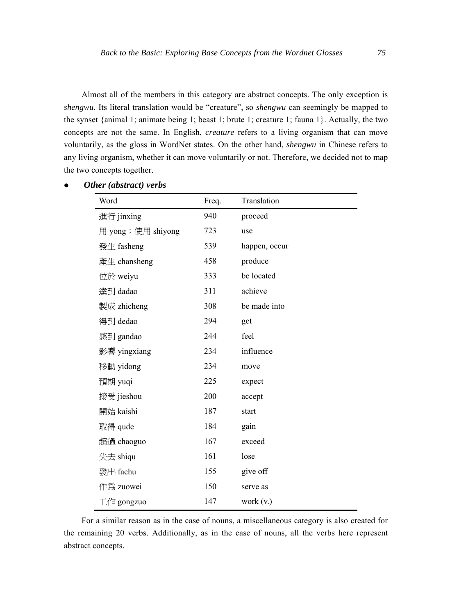Almost all of the members in this category are abstract concepts. The only exception is *shengwu*. Its literal translation would be "creature", so *shengwu* can seemingly be mapped to the synset {animal 1; animate being 1; beast 1; brute 1; creature 1; fauna 1}. Actually, the two concepts are not the same. In English, *creature* refers to a living organism that can move voluntarily, as the gloss in WordNet states. On the other hand, *shengwu* in Chinese refers to any living organism, whether it can move voluntarily or not. Therefore, we decided not to map the two concepts together.

| Word                   | Freq. | Translation   |
|------------------------|-------|---------------|
| 進行 jinxing             | 940   | proceed       |
| 用 yong;使用 shiyong      | 723   | use           |
| 發生 fasheng             | 539   | happen, occur |
| 產生 chansheng           | 458   | produce       |
| 位於 weiyu               | 333   | be located    |
| 達到 dadao               | 311   | achieve       |
| 製成 zhicheng            | 308   | be made into  |
| 得到 dedao               | 294   | get           |
| 感到 gandao              | 244   | feel          |
| 影響 yingxiang           | 234   | influence     |
| 移動 yidong              | 234   | move          |
| 預期 yuqi                | 225   | expect        |
| 接受 jieshou             | 200   | accept        |
| 開始 kaishi              | 187   | start         |
| 取得 qude                | 184   | gain          |
| 超過 chaoguo             | 167   | exceed        |
| 失去 shiqu               | 161   | lose          |
| 發出 fachu               | 155   | give off      |
| 作為 zuowei              | 150   | serve as      |
| $\perp$ / $\#$ gongzuo | 147   | work (v.)     |

### z *Other (abstract) verbs*

For a similar reason as in the case of nouns, a miscellaneous category is also created for the remaining 20 verbs. Additionally, as in the case of nouns, all the verbs here represent abstract concepts.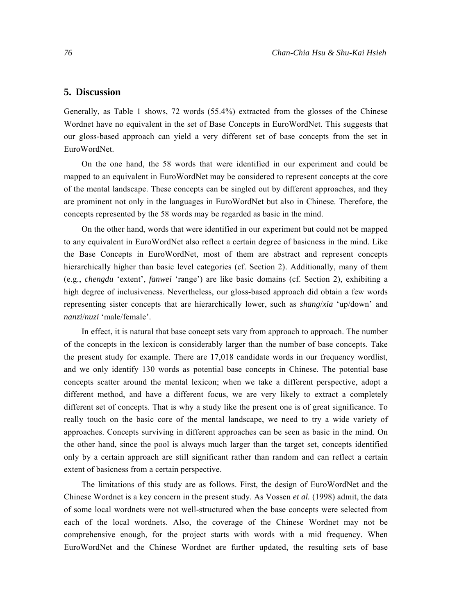# **5. Discussion**

Generally, as Table 1 shows, 72 words (55.4%) extracted from the glosses of the Chinese Wordnet have no equivalent in the set of Base Concepts in EuroWordNet. This suggests that our gloss-based approach can yield a very different set of base concepts from the set in EuroWordNet.

On the one hand, the 58 words that were identified in our experiment and could be mapped to an equivalent in EuroWordNet may be considered to represent concepts at the core of the mental landscape. These concepts can be singled out by different approaches, and they are prominent not only in the languages in EuroWordNet but also in Chinese. Therefore, the concepts represented by the 58 words may be regarded as basic in the mind.

On the other hand, words that were identified in our experiment but could not be mapped to any equivalent in EuroWordNet also reflect a certain degree of basicness in the mind. Like the Base Concepts in EuroWordNet, most of them are abstract and represent concepts hierarchically higher than basic level categories (cf. Section 2). Additionally, many of them (e.g., *chengdu* 'extent', *fanwei* 'range') are like basic domains (cf. Section 2), exhibiting a high degree of inclusiveness. Nevertheless, our gloss-based approach did obtain a few words representing sister concepts that are hierarchically lower, such as *shang*/*xia* 'up/down' and *nanzi*/*nuzi* 'male/female'.

In effect, it is natural that base concept sets vary from approach to approach. The number of the concepts in the lexicon is considerably larger than the number of base concepts. Take the present study for example. There are 17,018 candidate words in our frequency wordlist, and we only identify 130 words as potential base concepts in Chinese. The potential base concepts scatter around the mental lexicon; when we take a different perspective, adopt a different method, and have a different focus, we are very likely to extract a completely different set of concepts. That is why a study like the present one is of great significance. To really touch on the basic core of the mental landscape, we need to try a wide variety of approaches. Concepts surviving in different approaches can be seen as basic in the mind. On the other hand, since the pool is always much larger than the target set, concepts identified only by a certain approach are still significant rather than random and can reflect a certain extent of basicness from a certain perspective.

The limitations of this study are as follows. First, the design of EuroWordNet and the Chinese Wordnet is a key concern in the present study. As Vossen *et al.* (1998) admit, the data of some local wordnets were not well-structured when the base concepts were selected from each of the local wordnets. Also, the coverage of the Chinese Wordnet may not be comprehensive enough, for the project starts with words with a mid frequency. When EuroWordNet and the Chinese Wordnet are further updated, the resulting sets of base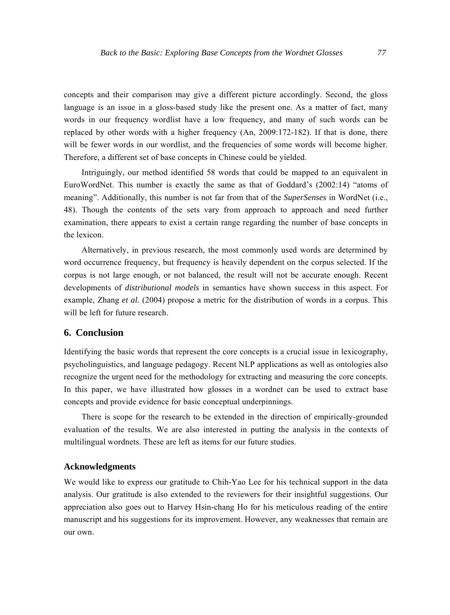concepts and their comparison may give a different picture accordingly. Second, the gloss language is an issue in a gloss-based study like the present one. As a matter of fact, many words in our frequency wordlist have a low frequency, and many of such words can be replaced by other words with a higher frequency (An, 2009:172-182). If that is done, there will be fewer words in our wordlist, and the frequencies of some words will become higher. Therefore, a different set of base concepts in Chinese could be yielded.

Intriguingly, our method identified 58 words that could be mapped to an equivalent in EuroWordNet. This number is exactly the same as that of Goddard's (2002:14) "atoms of meaning". Additionally, this number is not far from that of the *SuperSenses* in WordNet (i.e., 48). Though the contents of the sets vary from approach to approach and need further examination, there appears to exist a certain range regarding the number of base concepts in the lexicon.

Alternatively, in previous research, the most commonly used words are determined by word occurrence frequency, but frequency is heavily dependent on the corpus selected. If the corpus is not large enough, or not balanced, the result will not be accurate enough. Recent developments of *distributional models* in semantics have shown success in this aspect. For example, Zhang *et al.* (2004) propose a metric for the distribution of words in a corpus. This will be left for future research.

# **6. Conclusion**

Identifying the basic words that represent the core concepts is a crucial issue in lexicography, psycholinguistics, and language pedagogy. Recent NLP applications as well as ontologies also recognize the urgent need for the methodology for extracting and measuring the core concepts. In this paper, we have illustrated how glosses in a wordnet can be used to extract base concepts and provide evidence for basic conceptual underpinnings.

There is scope for the research to be extended in the direction of empirically-grounded evaluation of the results. We are also interested in putting the analysis in the contexts of multilingual wordnets. These are left as items for our future studies.

#### **Acknowledgments**

We would like to express our gratitude to Chih-Yao Lee for his technical support in the data analysis. Our gratitude is also extended to the reviewers for their insightful suggestions. Our appreciation also goes out to Harvey Hsin-chang Ho for his meticulous reading of the entire manuscript and his suggestions for its improvement. However, any weaknesses that remain are our own.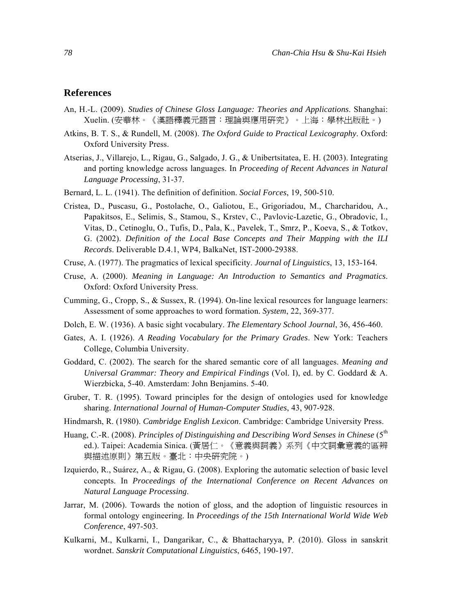# **References**

- An, H.-L. (2009). *Studies of Chinese Gloss Language: Theories and Applications*. Shanghai: Xuelin. (安華林。《漢語釋義元語言:理論與應用研究》。上海:學林出版社。)
- Atkins, B. T. S., & Rundell, M. (2008). *The Oxford Guide to Practical Lexicography*. Oxford: Oxford University Press.
- Atserias, J., Villarejo, L., Rigau, G., Salgado, J. G., & Unibertsitatea, E. H. (2003). Integrating and porting knowledge across languages. In *Proceeding of Recent Advances in Natural Language Processing*, 31-37.
- Bernard, L. L. (1941). The definition of definition. *Social Forces*, 19, 500-510.
- Cristea, D., Puscasu, G., Postolache, O., Galiotou, E., Grigoriadou, M., Charcharidou, A., Papakitsos, E., Selimis, S., Stamou, S., Krstev, C., Pavlovic-Lazetic, G., Obradovic, I., Vitas, D., Cetinoglu, O., Tufis, D., Pala, K., Pavelek, T., Smrz, P., Koeva, S., & Totkov, G. (2002). *Definition of the Local Base Concepts and Their Mapping with the ILI Records*. Deliverable D.4.1, WP4, BalkaNet, IST-2000-29388.
- Cruse, A. (1977). The pragmatics of lexical specificity. *Journal of Linguistics*, 13, 153-164.
- Cruse, A. (2000). *Meaning in Language: An Introduction to Semantics and Pragmatics*. Oxford: Oxford University Press.
- Cumming, G., Cropp, S., & Sussex, R. (1994). On-line lexical resources for language learners: Assessment of some approaches to word formation. *System*, 22, 369-377.
- Dolch, E. W. (1936). A basic sight vocabulary. *The Elementary School Journal*, 36, 456-460.
- Gates, A. I. (1926). *A Reading Vocabulary for the Primary Grades*. New York: Teachers College, Columbia University.
- Goddard, C. (2002). The search for the shared semantic core of all languages. *Meaning and Universal Grammar: Theory and Empirical Findings* (Vol. I), ed. by C. Goddard & A. Wierzbicka, 5-40. Amsterdam: John Benjamins. 5-40.
- Gruber, T. R. (1995). Toward principles for the design of ontologies used for knowledge sharing. *International Journal of Human-Computer Studies*, 43, 907-928.
- Hindmarsh, R. (1980). *Cambridge English Lexicon*. Cambridge: Cambridge University Press.
- Huang, C.-R. (2008). *Principles of Distinguishing and Describing Word Senses in Chinese* (5<sup>th</sup> ed.). Taipei: Academia Sinica. (黃居仁。《意義與詞義》系列《中文詞彙意義的區辨 與描述原則》第五版。臺北:中央研究院。)
- Izquierdo, R., Suárez, A., & Rigau, G. (2008). Exploring the automatic selection of basic level concepts. In *Proceedings of the International Conference on Recent Advances on Natural Language Processing*.
- Jarrar, M. (2006). Towards the notion of gloss, and the adoption of linguistic resources in formal ontology engineering. In *Proceedings of the 15th International World Wide Web Conference*, 497-503.
- Kulkarni, M., Kulkarni, I., Dangarikar, C., & Bhattacharyya, P. (2010). Gloss in sanskrit wordnet. *Sanskrit Computational Linguistics*, 6465, 190-197.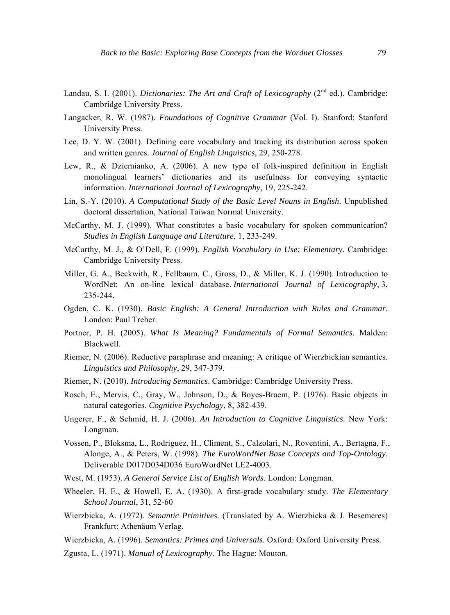- Landau, S. I. (2001). *Dictionaries: The Art and Craft of Lexicography* (2<sup>nd</sup> ed.). Cambridge: Cambridge University Press.
- Langacker, R. W. (1987). *Foundations of Cognitive Grammar* (Vol. I). Stanford: Stanford University Press.
- Lee, D. Y. W. (2001). Defining core vocabulary and tracking its distribution across spoken and written genres. *Journal of English Linguistics*, 29, 250-278.
- Lew, R., & Dziemianko, A. (2006). A new type of folk-inspired definition in English monolingual learners' dictionaries and its usefulness for conveying syntactic information. *International Journal of Lexicography*, 19, 225-242.
- Lin, S.-Y. (2010). *A Computational Study of the Basic Level Nouns in English*. Unpublished doctoral dissertation, National Taiwan Normal University.
- McCarthy, M. J. (1999). What constitutes a basic vocabulary for spoken communication? *Studies in English Language and Literature*, 1, 233-249.
- McCarthy, M. J., & O'Dell, F. (1999). *English Vocabulary in Use: Elementary.* Cambridge: Cambridge University Press.
- Miller, G. A., Beckwith, R., Fellbaum, C., Gross, D., & Miller, K. J. (1990). Introduction to WordNet: An on-line lexical database. *International Journal of Lexicography*, 3, 235-244.
- Ogden, C. K. (1930). *Basic English: A General Introduction with Rules and Grammar*. London: Paul Treber.
- Portner, P. H. (2005). *What Is Meaning? Fundamentals of Formal Semantics*. Malden: Blackwell.
- Riemer, N. (2006). Reductive paraphrase and meaning: A critique of Wierzbickian semantics. *Linguistics and Philosophy*, 29, 347-379.
- Riemer, N. (2010). *Introducing Semantics*. Cambridge: Cambridge University Press.
- Rosch, E., Mervis, C., Gray, W., Johnson, D., & Boyes-Braem, P. (1976). Basic objects in natural categories. *Cognitive Psychology*, 8, 382-439.
- Ungerer, F., & Schmid, H. J. (2006). *An Introduction to Cognitive Linguistics*. New York: Longman.
- Vossen, P., Bloksma, L., Rodriguez, H., Climent, S., Calzolari, N., Roventini, A., Bertagna, F., Alonge, A., & Peters, W. (1998). *The EuroWordNet Base Concepts and Top-Ontology*. Deliverable D017D034D036 EuroWordNet LE2-4003.
- West, M. (1953). *A General Service List of English Words*. London: Longman.
- Wheeler, H. E., & Howell, E. A. (1930). A first-grade vocabulary study. *The Elementary School Journal*, 31, 52-60
- Wierzbicka, A. (1972). *Semantic Primitives*. (Translated by A. Wierzbicka & J. Besemeres) Frankfurt: Athenäum Verlag.
- Wierzbicka, A. (1996). *Semantics: Primes and Universals*. Oxford: Oxford University Press.
- Zgusta, L. (1971). *Manual of Lexicography*. The Hague: Mouton.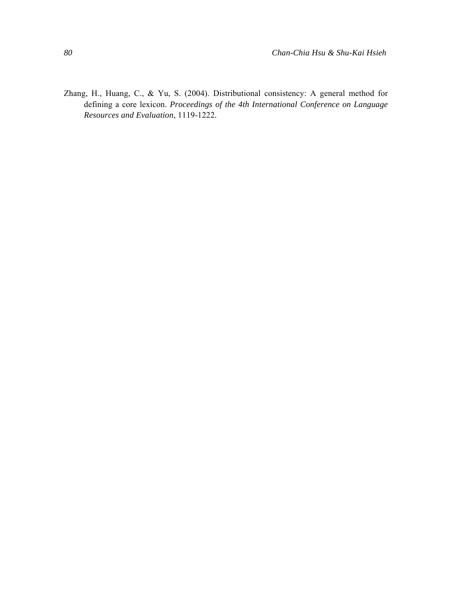Zhang, H., Huang, C., & Yu, S. (2004). Distributional consistency: A general method for defining a core lexicon. *Proceedings of the 4th International Conference on Language Resources and Evaluation*, 1119-1222.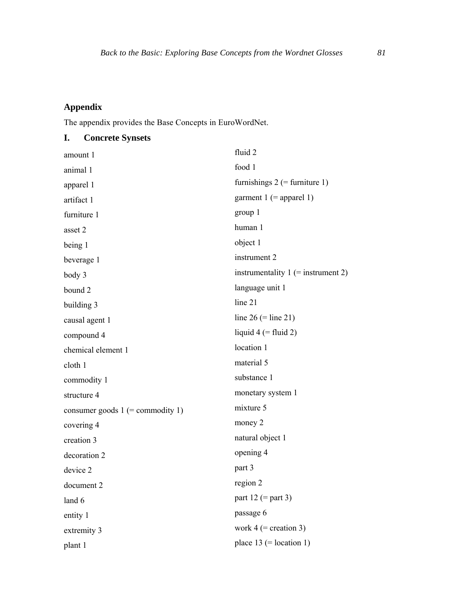### **Appendix**

plant 1

The appendix provides the Base Concepts in EuroWordNet.

#### **I. Concrete Synsets**  amount 1 animal 1 apparel 1 artifact 1 furniture 1 asset 2 being 1 beverage 1 body 3 bound 2 building 3 causal agent 1 compound 4 chemical element 1 cloth 1 commodity 1 structure 4 consumer goods  $1$  (= commodity 1) covering 4 creation 3 decoration 2 device 2 document 2 land 6 entity 1 extremity 3 fluid 2 food 1 furnishings  $2$  (= furniture 1) garment  $1$  (= apparel 1) group 1 human 1 object 1 instrument 2 instrumentality  $1$  (= instrument 2) language unit 1 line 21 line  $26$  (= line  $21$ ) liquid  $4$  (= fluid 2) location 1 material 5 substance 1 monetary system 1 mixture 5 money 2 natural object 1 opening 4 part 3 region 2 part  $12$  (= part 3) passage 6 work  $4$  (= creation 3) place  $13$  (= location 1)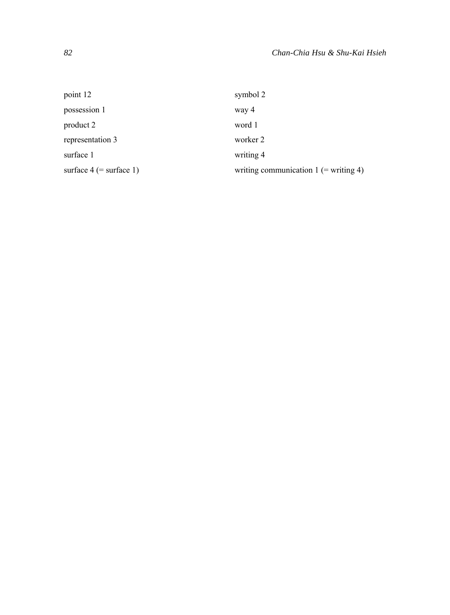| point 12                  | symbol 2                                |
|---------------------------|-----------------------------------------|
| possession 1              | way 4                                   |
| product 2                 | word 1                                  |
| representation 3          | worker 2                                |
| surface 1                 | writing 4                               |
| surface $4$ (= surface 1) | writing communication $1$ (= writing 4) |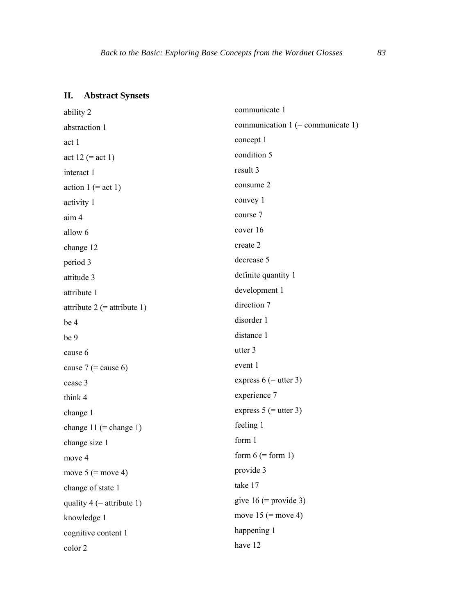# **II. Abstract Synsets**

| ability 2                    | communicate 1                       |
|------------------------------|-------------------------------------|
| abstraction 1                | communication $1$ (= communicate 1) |
| act 1                        | concept 1                           |
| act 12 (= act 1)             | condition 5                         |
| interact 1                   | result 3                            |
| action $1 (= \text{act } 1)$ | consume 2                           |
| activity 1                   | convey 1                            |
| aim 4                        | course 7                            |
| allow 6                      | cover 16                            |
| change 12                    | create 2                            |
| period 3                     | decrease 5                          |
| attitude 3                   | definite quantity 1                 |
| attribute 1                  | development 1                       |
| attribute 2 (= attribute 1)  | direction 7                         |
| be 4                         | disorder 1                          |
| be 9                         | distance 1                          |
| cause 6                      | utter 3                             |
| cause $7$ (= cause 6)        | event 1                             |
| cease 3                      | express $6$ (= utter 3)             |
| think 4                      | experience 7                        |
| change 1                     | express $5$ (= utter 3)             |
| change $11$ (= change 1)     | feeling 1                           |
| change size 1                | form 1                              |
| move 4                       | form $6$ (= form 1)                 |
| move $5$ (= move 4)          | provide 3                           |
| change of state 1            | take 17                             |
| quality $4$ (= attribute 1)  | give $16$ (= provide 3)             |
| knowledge 1                  | move $15$ (= move 4)                |
| cognitive content 1          | happening 1                         |
| color 2                      | have 12                             |